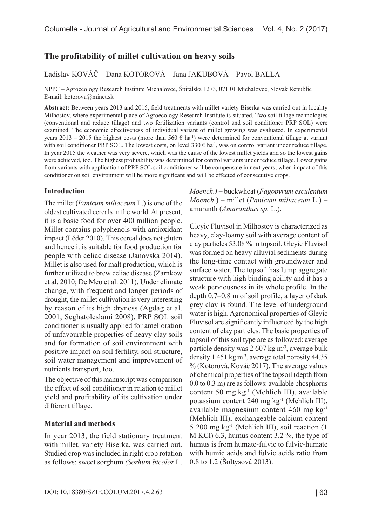# **The profitability of millet cultivation on heavy soils**

### Ladislav KOVÁČ – Dana KOTOROVÁ – Jana JAKUBOVÁ – Pavol BALLA

NPPC – Agroecology Research Institute Michalovce, Špitálska 1273, 071 01 Michalovce, Slovak Republic E-mail: [kotorova@minet.sk](mailto:kotorova@minet.sk)

**Abstract:** Between years 2013 and 2015, field treatments with millet variety Biserka was carried out in locality Milhostov, where experimental place of Agroecology Research Institute is situated. Two soil tillage technologies (conventional and reduce tillage) and two fertilization variants (control and soil conditioner PRP SOL) were examined. The economic effectiveness of individual variant of millet growing was evaluated. In experimental years 2013 – 2015 the highest costs (more than 560  $\epsilon$  ha<sup>-1</sup>) were determined for conventional tillage at variant with soil conditioner PRP SOL. The lowest costs, on level 330  $\epsilon$  ha<sup>-1</sup>, was on control variant under reduce tillage. In year 2015 the weather was very severe, which was the cause of the lowest millet yields and so the lowest gains were achieved, too. The highest profitability was determined for control variants under reduce tillage. Lower gains from variants with application of PRP SOL soil conditioner will be compensate in next years, when impact of this conditioner on soil environment will be more significant and will be effected of consecutive crops.

### **Introduction**

The millet (*Panicum miliaceum* L.) is one of the oldest cultivated cereals in the world. At present, it is a basic food for over 400 million people. Millet contains polyphenols with antioxidant impact (Léder 2010). This cereal does not gluten and hence it is suitable for food production for people with celiac disease (Janovská 2014). Millet is also used for malt production, which is further utilized to brew celiac disease (Zarnkow et al. 2010; De Meo et al. 2011). Under climate change, with frequent and longer periods of drought, the millet cultivation is very interesting by reason of its high dryness (Agdag et al. 2001; Seghatoleslami 2008). PRP SOL soil conditioner is usually applied for amelioration of unfavourable properties of heavy clay soils and for formation of soil environment with positive impact on soil fertility, soil structure, soil water management and improvement of nutrients transport, too.

The objective of this manuscript was comparison the effect of soil conditioner in relation to millet yield and profitability of its cultivation under different tillage.

### **Material and methods**

In year 2013, the field stationary treatment with millet, variety Biserka, was carried out. Studied crop was included in right crop rotation as follows: sweet sorghum *(Sorhum bicolor* L.

*Moench.)* – buckwheat (*Fagopyrum esculentum Moench*.) – millet (*Panicum miliaceum* L.) – amaranth (*Amaranthus sp.* L.).

Gleyic Fluvisol in Milhostov is characterized as heavy, clay-loamy soil with average content of clay particles 53.08 % in topsoil. Gleyic Fluvisol was formed on heavy alluvial sediments during the long-time contact with groundwater and surface water. The topsoil has lump aggregate structure with high binding ability and it has a weak perviousness in its whole profile. In the depth 0.7–0.8 m of soil profile, a layer of dark grey clay is found. The level of underground water is high. Agronomical properties of Gleyic Fluvisol are significantly influenced by the high content of clay particles. The basic properties of topsoil of this soil type are as followed: average particle density was 2 607 kg m<sup>-3</sup>, average bulk density 1 451 kg m-3, average total porosity 44.35 % (Kotorová, Kováč 2017). The average values of chemical properties of the topsoil (depth from 0.0 to 0.3 m) are as follows: available phosphorus content 50 mg kg-1 (Mehlich III), available potassium content 240 mg kg-1 (Mehlich III), available magnesium content 460 mg kg-1 (Mehlich III), exchangeable calcium content 5 200 mg kg-1 (Mehlich III), soil reaction (1 M KCl) 6.3, humus content 3.2 %, the type of humus is from humate-fulvic to fulvic-humate with humic acids and fulvic acids ratio from 0.8 to 1.2 (Šoltysová 2013).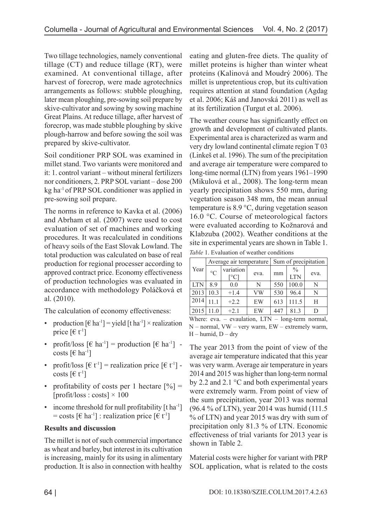Two tillage technologies, namely conventional tillage (CT) and reduce tillage (RT), were examined. At conventional tillage, after harvest of forecrop, were made agrotechnics arrangements as follows: stubble ploughing, later mean ploughing, pre-sowing soil prepare by skive-cultivator and sowing by sowing machine Great Plains. At reduce tillage, after harvest of forecrop, was made stubble ploughing by skive plough-harrow and before sowing the soil was prepared by skive-cultivator.

Soil conditioner PRP SOL was examined in millet stand. Two variants were monitored and it: 1. control variant – without mineral fertilizers nor conditioners, 2. PRP SOL variant – dose 200 kg ha-1 of PRP SOL conditioner was applied in pre-sowing soil prepare.

The norms in reference to Kavka et al. (2006) and Abrham et al. (2007) were used to cost evaluation of set of machines and working procedures. It was recalculated in conditions of heavy soils of the East Slovak Lowland. The total production was calculated on base of real production for regional processer according to approved contract price. Economy effectiveness of production technologies was evaluated in accordance with methodology Poláčková et al. (2010).

The calculation of economy effectiveness:

- production  $\lceil \theta \cdot h a^{-1} \rceil =$  yield  $\lceil \theta \cdot h a^{-1} \rceil \times$  realization price  $[6t^{-1}]$
- profit/loss  $\lceil \theta \cdot h a^{-1} \rceil$  = production  $\lceil \theta \cdot h a^{-1} \rceil$  costs  $\lceil \epsilon \rceil$  ha<sup>-1</sup>]
- profit/loss  $\lbrack \in t^1 \rbrack$  = realization price  $\lbrack \in t^1 \rbrack$  costs  $[6t^{-1}]$
- profitability of costs per 1 hectare  $[%] =$  $[profit/loss : costs] \times 100$
- income threshold for null profitability  $[t<sub>ha</sub>-1]$ = costs  $\lbrack \in \mathsf{h}a^{-1} \rbrack$ : realization price  $\lbrack \in \mathsf{t}^{-1} \rbrack$

## **Results and discussion**

The millet is not of such commercial importance as wheat and barley, but interest in its cultivation is increasing, mainly for its using in alimentary production. It is also in connection with healthy

eating and gluten-free diets. The quality of millet proteins is higher than winter wheat proteins (Kalinová and Moudrý 2006). The millet is unpretentious crop, but its cultivation requires attention at stand foundation (Agdag et al. 2006; Káš and Janovská 2011) as well as at its fertilization (Turgut et al. 2006).

The weather course has significantly effect on growth and development of cultivated plants. Experimental area is characterized as warm and very dry lowland continental climate region T 03 (Linkeš et al. 1996). The sum of the precipitation and average air temperature were compared to long-time normal (LTN) from years 1961–1990 (Mikulová et al., 2008). The long-term mean yearly precipitation shows 550 mm, during vegetation season 348 mm, the mean annual temperature is 8.9 °C, during vegetation season 16.0 °C. Course of meteorological factors were evaluated according to Kožnarová and Klabzuba (2002). Weather conditions at the site in experimental years are shown in Table 1. *Table* 1. Evaluation of weather conditions

|            | Average air temperature |                                        |      | Sum of precipitation |                             |      |
|------------|-------------------------|----------------------------------------|------|----------------------|-----------------------------|------|
| Year       | $^{\circ}C$             | variation<br>$\lceil \text{°C} \rceil$ | eva. | mm                   | $\frac{0}{0}$<br><b>LTN</b> | eva. |
| <b>LTN</b> | 8.9                     | 0.0                                    | N    | 550                  | 100.0                       | N    |
| 2013       | 10.3                    | $+1.4$                                 | VW   | 530                  | 96.4                        | N    |
| 2014       | 111                     | $+2.2$                                 | EW   | 613                  | 111.5                       | Н    |
| 2015       |                         | $+2.1$                                 | EW   | 447                  | 81.3                        |      |

Where: eva. – evaulation, LTN – long-term normal, N – normal, VW – very warm, EW – extremely warm,  $H$  – humid,  $D$  – dry

The year 2013 from the point of view of the average air temperature indicated that this year was very warm. Average air temperature in years 2014 and 2015 was higher than long-term normal by 2.2 and 2.1 °C and both experimental years were extremely warm. From point of view of the sum precipitation, year 2013 was normal (96.4 % of LTN), year 2014 was humid (111.5 % of LTN) and year 2015 was dry with sum of precipitation only 81.3 % of LTN. Economic effectiveness of trial variants for 2013 year is shown in Table 2.

Material costs were higher for variant with PRP SOL application, what is related to the costs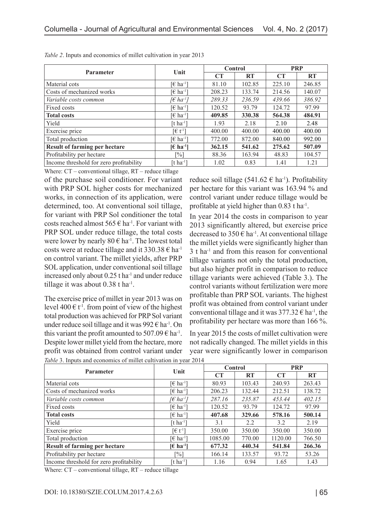| <b>Parameter</b>                        | Unit                                  | Control |           | <b>PRP</b> |           |
|-----------------------------------------|---------------------------------------|---------|-----------|------------|-----------|
|                                         |                                       | CT      | <b>RT</b> | CT         | <b>RT</b> |
| Material cots                           | $\lceil \epsilon \ln^{-1} \rceil$     | 81.10   | 102.85    | 225.10     | 246.85    |
| Costs of mechanized works               | [€ ha <sup>-1</sup> ]                 | 208.23  | 133.74    | 214.56     | 140.07    |
| Variable costs common                   | [€ ha <sup>-1</sup> ]                 | 289.33  | 236.59    | 439.66     | 386.92    |
| Fixed costs                             | [€ ha <sup>-1</sup> ]                 | 120.52  | 93.79     | 124.72     | 97.99     |
| <b>Total costs</b>                      | [€ ha <sup>-1</sup> ]                 | 409.85  | 330.38    | 564.38     | 484.91    |
| Yield                                   | [t ha <sup>-1</sup> ]                 | 1.93    | 2.18      | 2.10       | 2.48      |
| Exercise price                          | $\lceil \in \mathfrak{t}^{-1} \rceil$ | 400.00  | 400.00    | 400.00     | 400.00    |
| Total production                        | [€ ha <sup>-1</sup> ]                 | 772.00  | 872.00    | 840.00     | 992.00    |
| <b>Result of farming per hectare</b>    | [€ ha <sup>-1</sup> ]                 | 362.15  | 541.62    | 275.62     | 507.09    |
| Profitability per hectare               | [%]                                   | 88.36   | 163.94    | 48.83      | 104.57    |
| Income threshold for zero profitability | [t ha <sup>-1</sup> ]                 | 1.02    | 0.83      | 1.41       | 1.21      |

| Table 2. Inputs and economics of millet cultivation in year 2013 |  |
|------------------------------------------------------------------|--|
|------------------------------------------------------------------|--|

Where: CT – conventional tillage, RT – reduce tillage

of the purchase soil conditioner. For variant with PRP SOL higher costs for mechanized works, in connection of its application, were determined, too. At conventional soil tillage, for variant with PRP Sol conditioner the total costs reached almost  $565 \text{ } \in$  ha<sup>-1</sup>. For variant with PRP SOL under reduce tillage, the total costs were lower by nearly  $80 \text{ } \in \text{ } ha^{-1}$ . The lowest total costs were at reduce tillage and it  $330.38 \text{ } \in \text{ha-1}$ on control variant. The millet yields, after PRP SOL application, under conventional soil tillage increased only about 0.25 t ha-1 and under reduce tillage it was about  $0.38$  t ha<sup>-1</sup>.

The exercise price of millet in year 2013 was on level 400  $\in$  t<sup>-1</sup>. from point of view of the highest total production was achieved for PRP Sol variant under reduce soil tillage and it was  $992 \text{ } \in \text{ } h$ a<sup>-1</sup>. On this variant the profit amounted to 507.09  $\epsilon$  ha<sup>-1</sup>. Despite lower millet yield from the hectare, more profit was obtained from control variant under

reduce soil tillage (541.62  $\epsilon$  ha<sup>-1</sup>). Profitability per hectare for this variant was 163.94 % and control variant under reduce tillage would be profitable at yield higher than 0.83 t ha-1.

In year 2014 the costs in comparison to year 2013 significantly altered, but exercise price decreased to  $350 \text{ } \in \text{ } ha^{-1}$ . At conventional tillage the millet yields were significantly higher than  $3$  t ha<sup>-1</sup> and from this reason for conventional tillage variants not only the total production, but also higher profit in comparison to reduce tillage variants were achieved (Table 3.). The control variants without fertilization were more profitable than PRP SOL variants. The highest profit was obtained from control variant under conventional tillage and it was  $377.32 \text{ } \in \text{ha}^1$ , the profitability per hectare was more than 166 %.

In year 2015 the costs of millet cultivation were not radically changed. The millet yields in this year were significantly lower in comparison

| <b>Parameter</b>                        | Unit                                              | Control   |           | <b>PRP</b> |           |
|-----------------------------------------|---------------------------------------------------|-----------|-----------|------------|-----------|
|                                         |                                                   | <b>CT</b> | <b>RT</b> | <b>CT</b>  | <b>RT</b> |
| Material cots                           | [ $\epsilon$ ha <sup>-1</sup> ]                   | 80.93     | 103.43    | 240.93     | 263.43    |
| Costs of mechanized works               | [€ ha <sup>-1</sup> ]                             | 206.23    | 132.44    | 212.51     | 138.72    |
| <i>Variable costs common</i>            | ∫€ ha <sup>∙1</sup>                               | 287.16    | 235.87    | 453.44     | 402.15    |
| Fixed costs                             | [€ ha <sup>-1</sup> ]                             | 120.52    | 93.79     | 124.72     | 97.99     |
| <b>Total costs</b>                      | [€ ha <sup>-1</sup> ]                             | 407.68    | 329.66    | 578.16     | 500.14    |
| Yield                                   | [t ha <sup>-1</sup> ]                             | 3.1       | 2.2       | 3.2        | 2.19      |
| Exercise price                          | $\lceil \epsilon t^{-1} \rceil$                   | 350.00    | 350.00    | 350.00     | 350.00    |
| Total production                        | $\lceil \epsilon \ln^{-1} \rceil$                 | 1085.00   | 770.00    | 1120.00    | 766.50    |
| <b>Result of farming per hectare</b>    | $\left[\frac{\epsilon}{2} \text{ ha}^{-1}\right]$ | 677.32    | 440.34    | 541.84     | 266.36    |
| Profitability per hectare               | $\lceil\% \rceil$                                 | 166.14    | 133.57    | 93.72      | 53.26     |
| Income threshold for zero profitability | [t ha <sup>-1</sup> ]                             | 1.16      | 0.94      | 1.65       | 1.43      |

*Table* 3. Inputs and economics of millet cultivation in year 2014

Where: CT – conventional tillage, RT – reduce tillage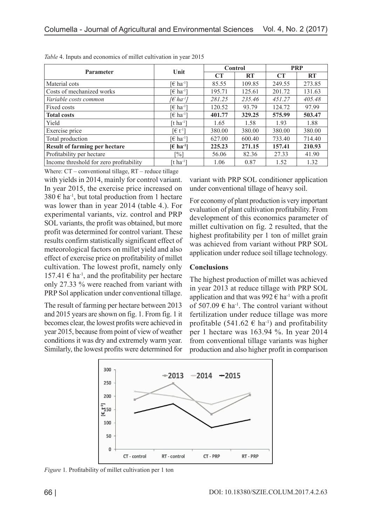| <b>Parameter</b>                        | Unit                              | Control |           | <b>PRP</b> |           |
|-----------------------------------------|-----------------------------------|---------|-----------|------------|-----------|
|                                         |                                   | CT      | <b>RT</b> | CT         | <b>RT</b> |
| Material cots                           | [€ ha <sup>-1</sup> ]             | 85.55   | 109.85    | 249.55     | 273.85    |
| Costs of mechanized works               | $\lceil \epsilon \ln^{-1} \rceil$ | 195.71  | 125.61    | 201.72     | 131.63    |
| Variable costs common                   | $\lceil \epsilon \ln a^1 \rceil$  | 281.25  | 235.46    | 451.27     | 405.48    |
| Fixed costs                             | [€ ha <sup>-1</sup> ]             | 120.52  | 93.79     | 124.72     | 97.99     |
| <b>Total costs</b>                      | [ $\in$ ha <sup>-1</sup> ]        | 401.77  | 329.25    | 575.99     | 503.47    |
| Yield                                   | [t ha <sup>-1</sup> ]             | 1.65    | 1.58      | 1.93       | 1.88      |
| Exercise price                          | [€ t <sup>-1</sup> ]              | 380.00  | 380.00    | 380.00     | 380.00    |
| Total production                        | $\lceil \epsilon \ln^{-1} \rceil$ | 627.00  | 600.40    | 733.40     | 714.40    |
| <b>Result of farming per hectare</b>    | $E$ ha <sup>-1</sup> l            | 225.23  | 271.15    | 157.41     | 210.93    |
| Profitability per hectare               | [%]                               | 56.06   | 82.36     | 27.33      | 41.90     |
| Income threshold for zero profitability | [t ha <sup>-1</sup> ]             | 1.06    | 0.87      | 1.52       | 1.32      |

|  |  | Table 4. Inputs and economics of millet cultivation in year 2015 |
|--|--|------------------------------------------------------------------|
|  |  |                                                                  |

with yields in 2014, mainly for control variant. In year 2015, the exercise price increased on  $380 \text{ } \in \text{ }$  ha<sup>-1</sup>, but total production from 1 hectare was lower than in year 2014 (table 4.). For experimental variants, viz. control and PRP SOL variants, the profit was obtained, but more profit was determined for control variant. These results confirm statistically significant effect of meteorological factors on millet yield and also effect of exercise price on profitability of millet cultivation. The lowest profit, namely only 157.41  $\epsilon$  ha<sup>-1</sup>, and the profitability per hectare only 27.33 % were reached from variant with PRP Sol application under conventional tillage. Where: CT – conventional tillage, RT – reduce tillage

The result of farming per hectare between 2013 and 2015 years are shown on fig. 1. From fig. 1 it becomes clear, the lowest profits were achieved in year 2015, because from point of view of weather conditions it was dry and extremely warm year. Similarly, the lowest profits were determined for variant with PRP SOL conditioner application under conventional tillage of heavy soil.

For economy of plant production is very important evaluation of plant cultivation profitability. From development of this economics parameter of millet cultivation on fig. 2 resulted, that the highest profitability per 1 ton of millet grain was achieved from variant without PRP SOL application under reduce soil tillage technology.

### **Conclusions**

The highest production of millet was achieved in year 2013 at reduce tillage with PRP SOL application and that was 992 $\epsilon$  ha<sup>-1</sup> with a profit of 507.09  $\epsilon$  ha<sup>-1</sup>. The control variant without fertilization under reduce tillage was more profitable (541.62  $\epsilon$  ha<sup>-1</sup>) and profitability per 1 hectare was 163.94 %. In year 2014 from conventional tillage variants was higher production and also higher profit in comparison



*Figure* 1*.* Profitability of millet cultivation per 1 ton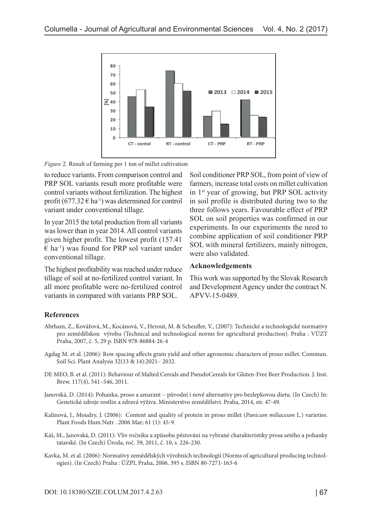

*Figure* 2*.* Result of farming per 1 ton of millet cultivation

to reduce variants. From comparison control and PRP SOL variants result more profitable were control variants without fertilization. The highest profit  $(677.32 \text{ } \in \text{ha}^{-1})$  was determined for control variant under conventional tillage.

In year 2015 the total production from all variants was lower than in year 2014. All control variants given higher profit. The lowest profit (157.41  $\epsilon$  ha<sup>-1</sup>) was found for PRP sol variant under conventional tillage.

The highest profitability was reached under reduce tillage of soil at no-fertilized control variant. In all more profitable were no-fertilized control variants in compared with variants PRP SOL.

Soil conditioner PRP SOL, from point of view of farmers, increase total costs on millet cultivation in 1st year of growing, but PRP SOL activity in soil profile is distributed during two to the three follows years. Favourable effect of PRP SOL on soil properties was confirmed in our experiments. In our experiments the need to combine application of soil conditioner PRP SOL with mineral fertilizers, mainly nitrogen, were also validated.

#### **Acknowledgements**

This work was supported by the Slovak Research and Development Agency under the contract N. APVV-15-0489.

### **References**

- Abrham, Z., Kovářová, M., Kocánová, V., Herout, M. & Scheufler, V., (2007): Technické a technologické normativy pro zemědělskou výrobu (Technical and technological norms for agricultural production). Praha : VÚZT Praha, 2007, č. 5, 29 p. ISBN 978-86884-26-4
- Agdag M. et al. (2006): Row spacing affects grain yield and other agronomic characters of proso millet. Commun. Soil Sci. Plant Analysis 32(13 & 14):2021– 2032.
- DE MEO, B. et al. (2011): Behaviour of Malted Cereals and PseudoCereals for Gluten-Free Beer Production. J. Inst. Brew. 117(4), 541–546, 2011.
- Janovská, D. (2014): Pohanka, proso a amarant původní i nové alternativy pro bezlepkovou dietu. (In Czech) In: Genetické zdroje rostlin a zdravá výživa. Ministerstvo zemědělství. Praha, 2014, str. 47-49.
- Kalinová, J., Moudry, J. (2006): Content and quality of protein in proso millet (*Panicum miliaceum* L.) varieties. Plant Foods Hum Nutr . 2006 Mar; 61 (1): 45-9.
- Káš, M., Janovská, D. (2011): Vliv ročníku a způsobu pěstování na vybrané charakteristiky prosa setého a pohanky tatarské. (In Czech) Úroda, roč. 59, 2011, č. 10, s. 226-230.
- Kavka, M. et al. (2006): Normativy zemědělských výrobních technologií (Norms of agricultural producing technologies). (In Czech) Praha : ÚZPI, Praha, 2006. 395 s. ISBN 80-7271-163-6